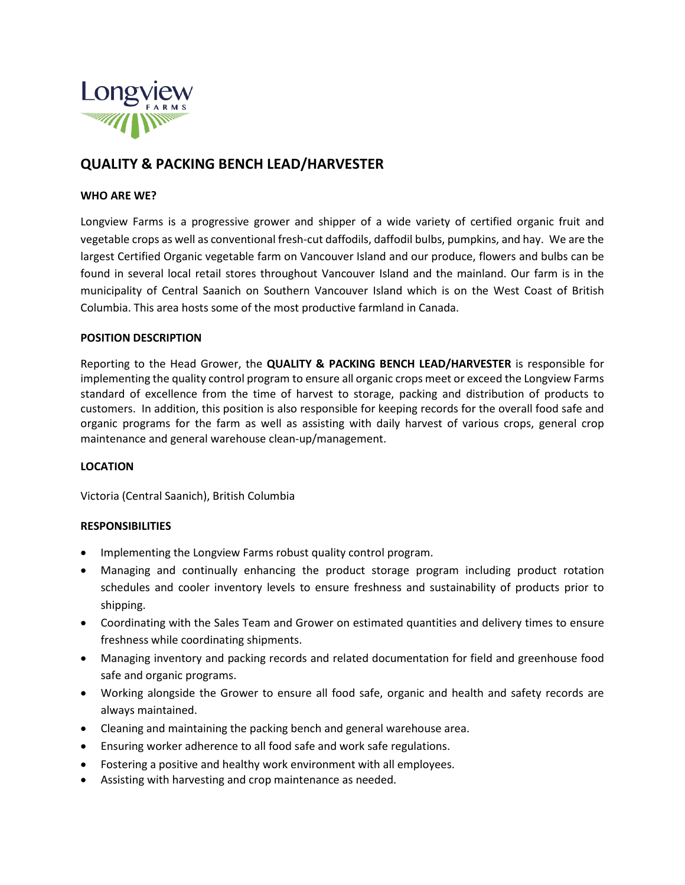

# **QUALITY & PACKING BENCH LEAD/HARVESTER**

# **WHO ARE WE?**

Longview Farms is a progressive grower and shipper of a wide variety of certified organic fruit and vegetable crops as well as conventional fresh-cut daffodils, daffodil bulbs, pumpkins, and hay. We are the largest Certified Organic vegetable farm on Vancouver Island and our produce, flowers and bulbs can be found in several local retail stores throughout Vancouver Island and the mainland. Our farm is in the municipality of Central Saanich on Southern Vancouver Island which is on the West Coast of British Columbia. This area hosts some of the most productive farmland in Canada.

## **POSITION DESCRIPTION**

Reporting to the Head Grower, the **QUALITY & PACKING BENCH LEAD/HARVESTER** is responsible for implementing the quality control program to ensure all organic crops meet or exceed the Longview Farms standard of excellence from the time of harvest to storage, packing and distribution of products to customers. In addition, this position is also responsible for keeping records for the overall food safe and organic programs for the farm as well as assisting with daily harvest of various crops, general crop maintenance and general warehouse clean-up/management.

#### **LOCATION**

Victoria (Central Saanich), British Columbia

# **RESPONSIBILITIES**

- Implementing the Longview Farms robust quality control program.
- Managing and continually enhancing the product storage program including product rotation schedules and cooler inventory levels to ensure freshness and sustainability of products prior to shipping.
- Coordinating with the Sales Team and Grower on estimated quantities and delivery times to ensure freshness while coordinating shipments.
- Managing inventory and packing records and related documentation for field and greenhouse food safe and organic programs.
- Working alongside the Grower to ensure all food safe, organic and health and safety records are always maintained.
- Cleaning and maintaining the packing bench and general warehouse area.
- Ensuring worker adherence to all food safe and work safe regulations.
- Fostering a positive and healthy work environment with all employees.
- Assisting with harvesting and crop maintenance as needed.